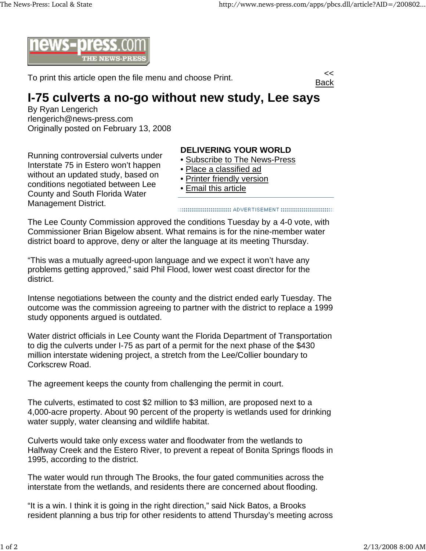

To print this article open the file menu and choose Print.



## **I-75 culverts a no-go without new study, Lee says**

By Ryan Lengerich rlengerich@news-press.com Originally posted on February 13, 2008

Running controversial culverts under Interstate 75 in Estero won't happen without an updated study, based on conditions negotiated between Lee County and South Florida Water Management District.

## **DELIVERING YOUR WORLD**

- Subscribe to The News-Press
- Place a classified ad
- Printer friendly version
- Email this article

The Lee County Commission approved the conditions Tuesday by a 4-0 vote, with Commissioner Brian Bigelow absent. What remains is for the nine-member water district board to approve, deny or alter the language at its meeting Thursday.

"This was a mutually agreed-upon language and we expect it won't have any problems getting approved," said Phil Flood, lower west coast director for the district.

Intense negotiations between the county and the district ended early Tuesday. The outcome was the commission agreeing to partner with the district to replace a 1999 study opponents argued is outdated.

Water district officials in Lee County want the Florida Department of Transportation to dig the culverts under I-75 as part of a permit for the next phase of the \$430 million interstate widening project, a stretch from the Lee/Collier boundary to Corkscrew Road.

The agreement keeps the county from challenging the permit in court.

The culverts, estimated to cost \$2 million to \$3 million, are proposed next to a 4,000-acre property. About 90 percent of the property is wetlands used for drinking water supply, water cleansing and wildlife habitat.

Culverts would take only excess water and floodwater from the wetlands to Halfway Creek and the Estero River, to prevent a repeat of Bonita Springs floods in 1995, according to the district.

The water would run through The Brooks, the four gated communities across the interstate from the wetlands, and residents there are concerned about flooding.

"It is a win. I think it is going in the right direction," said Nick Batos, a Brooks resident planning a bus trip for other residents to attend Thursday's meeting across